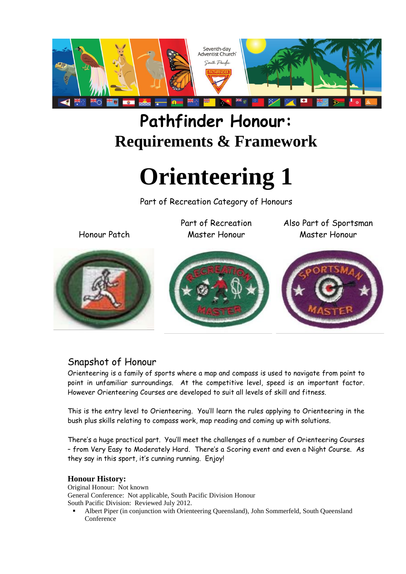

# **Pathfinder Honour: Requirements & Framework**

# **Orienteering 1**

Part of Recreation Category of Honours

Honour Patch

Part of Recreation Master Honour

Also Part of Sportsman Master Honour







#### Snapshot of Honour

Orienteering is a family of sports where a map and compass is used to navigate from point to point in unfamiliar surroundings. At the competitive level, speed is an important factor. However Orienteering Courses are developed to suit all levels of skill and fitness.

This is the entry level to Orienteering. You'll learn the rules applying to Orienteering in the bush plus skills relating to compass work, map reading and coming up with solutions.

There's a huge practical part. You'll meet the challenges of a number of Orienteering Courses – from Very Easy to Moderately Hard. There's a Scoring event and even a Night Course. As they say in this sport, it's cunning running. Enjoy!

#### **Honour History:**

Original Honour: Not known General Conference: Not applicable, South Pacific Division Honour South Pacific Division: Reviewed July 2012.

 Albert Piper (in conjunction with Orienteering Queensland), John Sommerfeld, South Queensland Conference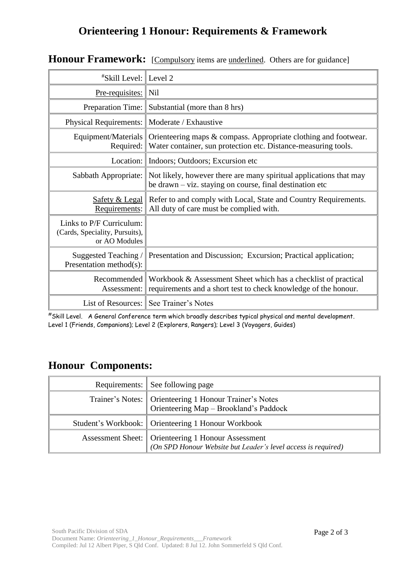## **Orienteering 1 Honour: Requirements & Framework**

| <i><b>"Skill Level: Level 2</b></i>                                         |                                                                                                                                   |
|-----------------------------------------------------------------------------|-----------------------------------------------------------------------------------------------------------------------------------|
| <u>Pre-requisites:</u>                                                      | Nil                                                                                                                               |
| Preparation Time:                                                           | Substantial (more than 8 hrs)                                                                                                     |
| Physical Requirements:                                                      | Moderate / Exhaustive                                                                                                             |
| Equipment/Materials<br>Required:                                            | Orienteering maps & compass. Appropriate clothing and footwear.<br>Water container, sun protection etc. Distance-measuring tools. |
| Location: $\parallel$                                                       | Indoors; Outdoors; Excursion etc                                                                                                  |
| Sabbath Appropriate:                                                        | Not likely, however there are many spiritual applications that may<br>be drawn – viz. staying on course, final destination etc    |
| <b>Safety &amp; Legal</b><br>Requirements:                                  | Refer to and comply with Local, State and Country Requirements.<br>All duty of care must be complied with.                        |
| Links to P/F Curriculum:<br>(Cards, Speciality, Pursuits),<br>or AO Modules |                                                                                                                                   |
| Suggested Teaching /<br>Presentation method(s):                             | Presentation and Discussion; Excursion; Practical application;                                                                    |
| Recommended<br>Assessment:                                                  | Workbook & Assessment Sheet which has a checklist of practical<br>requirements and a short test to check knowledge of the honour. |
| List of Resources: $\parallel$                                              | See Trainer's Notes                                                                                                               |

## **Honour Framework:** [Compulsory items are underlined. Others are for guidance]

#Skill Level. A General Conference term which broadly describes typical physical and mental development. Level 1 (Friends, Companions); Level 2 (Explorers, Rangers); Level 3 (Voyagers, Guides)

### **Honour Components:**

| Requirements: See following page                                                                                      |
|-----------------------------------------------------------------------------------------------------------------------|
| Trainer's Notes:   Orienteering 1 Honour Trainer's Notes<br>Orienteering Map - Brookland's Paddock                    |
| Student's Workbook:   Orienteering 1 Honour Workbook                                                                  |
| Assessment Sheet:   Orienteering 1 Honour Assessment<br>(On SPD Honour Website but Leader's level access is required) |